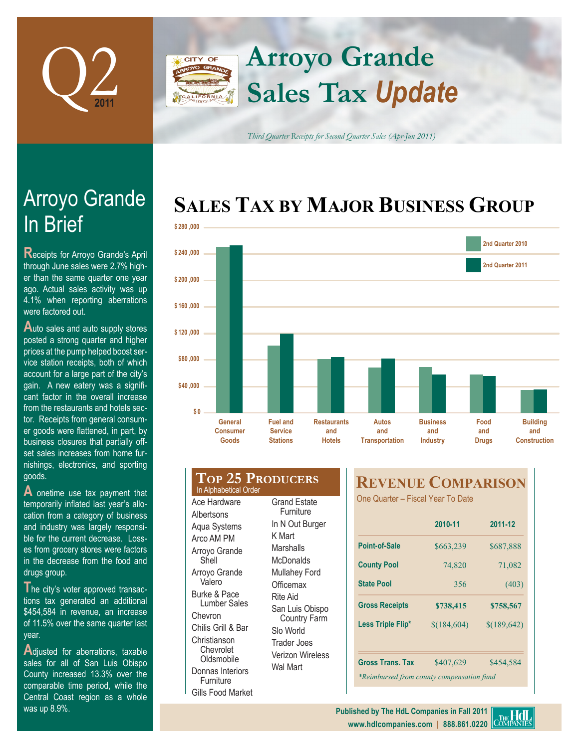

## **Arroyo Grande** CITY OF **Sales Tax** *Update*

*Third Quarter Receipts for Second Quarter Sales (Apr-Jun 2011)*

## **SALES TAX BY MAJOR BUSINESS GROUP**



# In Brief Arroyo Grande

**Receipts for Arroyo Grande's April** through June sales were 2.7% higher than the same quarter one year ago. Actual sales activity was up 4.1% when reporting aberrations were factored out.

Auto sales and auto supply stores posted a strong quarter and higher prices at the pump helped boost service station receipts, both of which account for a large part of the city's gain. A new eatery was a significant factor in the overall increase from the restaurants and hotels sector. Receipts from general consumer goods were flattened, in part, by business closures that partially offset sales increases from home furnishings, electronics, and sporting goods.

**A** onetime use tax payment that temporarily inflated last year's allocation from a category of business and industry was largely responsible for the current decrease. Losses from grocery stores were factors in the decrease from the food and drugs group.

The city's voter approved transactions tax generated an additional \$454,584 in revenue, an increase of 11.5% over the same quarter last year.

**A**djusted for aberrations, taxable sales for all of San Luis Obispo County increased 13.3% over the comparable time period, while the Central Coast region as a whole was up 8.9%.

#### **Top 25 Producers** Ace Hardware **Albertsons** Grand Estate In Alphabetical Order

Aqua Systems Arco AM PM Arroyo Grande Shell Arroyo Grande Valero Burke & Pace Lumber Sales Chevron Chilis Grill & Bar Christianson **Chevrolet Oldsmobile** Donnas Interiors **Furniture** Gills Food Market

**Furniture** In N Out Burger K Mart Marshalls **McDonalds** Mullahey Ford **Officemax** Rite Aid San Luis Obispo Country Farm Slo World Trader Joes Verizon Wireless Wal Mart

## **REVENUE COMPARISON**

One Quarter – Fiscal Year To Date

|                                           | 2010-11     | 2011-12<br>\$687,888 |  |  |  |
|-------------------------------------------|-------------|----------------------|--|--|--|
| Point-of-Sale                             | \$663,239   |                      |  |  |  |
| <b>County Pool</b>                        | 74,820      | 71,082               |  |  |  |
| <b>State Pool</b>                         | 356         | (403)                |  |  |  |
| <b>Gross Receipts</b>                     | \$738,415   | \$758,567            |  |  |  |
| Less Triple Flip*                         | \$(184,604) | \$(189, 642)         |  |  |  |
| <b>Gross Trans. Tax</b>                   | \$407,629   | \$454,584            |  |  |  |
| *Reimbursed from county compensation fund |             |                      |  |  |  |